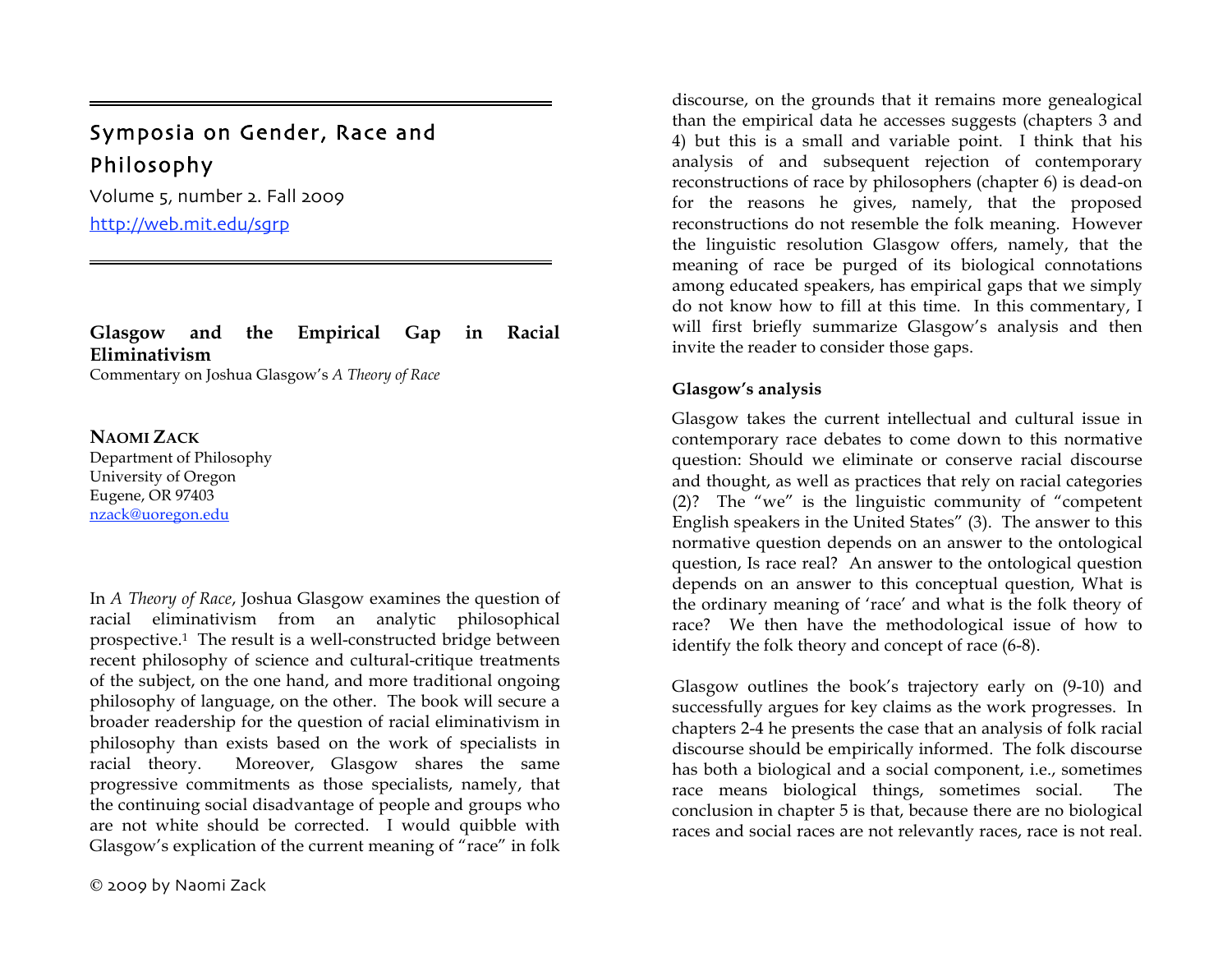# Symposia on Gender, Race and Philosophy

Volume 5, number 2. Fall 2009 http://web.mit.edu/sgrp

## **Glasgow and the Empirical Gap in Racial Eliminativism**

Commentary on Joshua Glasgow's *A Theory of Race*

### **NAOMI ZACK**

=

Department of Philosophy University of Oregon Eugene, OR 97403 nzack@uoregon.edu

In *A Theory of Race*, Joshua Glasgow examines the question of racial eliminativism from an analytic philosophical prospective.1 The result is a well-constructed bridge between recent philosophy of science and cultural-critique treatments of the subject, on the one hand, and more traditional ongoing philosophy of language, on the other. The book will secure a broader readership for the question of racial eliminativism in philosophy than exists based on the work of specialists in racial theory. Moreover, Glasgow shares the same progressive commitments as those specialists, namely, that the continuing social disadvantage of people and groups who are not white should be corrected. I would quibble with Glasgow's explication of the current meaning of "race" in folk

2009 by Naomi Zack

discourse, on the grounds that it remains more genealogical than the empirical data he accesses suggests (chapters 3 and 4) but this is a small and variable point. I think that his analysis of and subsequent rejection of contemporary reconstructions of race by philosophers (chapter 6) is dead-on for the reasons he gives, namely, that the proposed reconstructions do not resemble the folk meaning. However the linguistic resolution Glasgow offers, namely, that the meaning of race be purged of its biological connotations among educated speakers, has empirical gaps that we simply do not know how to fill at this time. In this commentary, I will first briefly summarize Glasgow's analysis and then invite the reader to consider those gaps.

#### **Glasgow's analysis**

Glasgow takes the current intellectual and cultural issue in contemporary race debates to come down to this normative question: Should we eliminate or conserve racial discourse and thought, as well as practices that rely on racial categories (2)? The "we" is the linguistic community of "competent English speakers in the United States" (3). The answer to this normative question depends on an answer to the ontological question, Is race real? An answer to the ontological question depends on an answer to this conceptual question, What is the ordinary meaning of 'race' and what is the folk theory of race? We then have the methodological issue of how to identify the folk theory and concept of race (6-8).

Glasgow outlines the book's trajectory early on (9-10) and successfully argues for key claims as the work progresses. In chapters 2-4 he presents the case that an analysis of folk racial discourse should be empirically informed. The folk discourse has both a biological and a social component, i.e., sometimes race means biological things, sometimes social. The conclusion in chapter 5 is that, because there are no biological races and social races are not relevantly races, race is not real.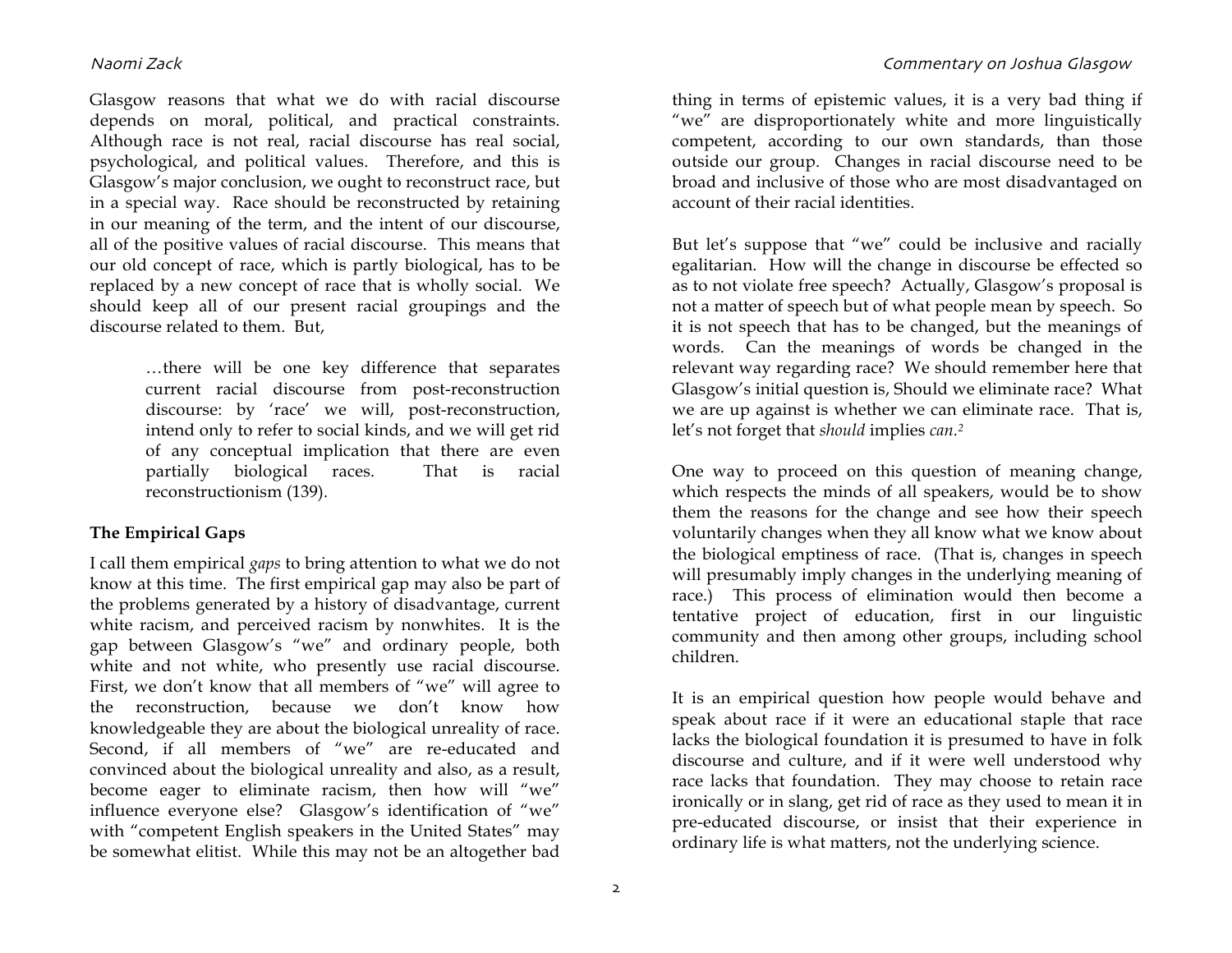Glasgow reasons that what we do with racial discourse depends on moral, political, and practical constraints. Although race is not real, racial discourse has real social, psychological, and political values. Therefore, and this is Glasgow's major conclusion, we ought to reconstruct race, but in a special way. Race should be reconstructed by retaining in our meaning of the term, and the intent of our discourse, all of the positive values of racial discourse. This means that our old concept of race, which is partly biological, has to be replaced by a new concept of race that is wholly social. We should keep all of our present racial groupings and the discourse related to them. But,

> …there will be one key difference that separates current racial discourse from post-reconstruction discourse: by 'race' we will, post-reconstruction, intend only to refer to social kinds, and we will get rid of any conceptual implication that there are even partially biological races. That is racial reconstructionism (139).

#### **The Empirical Gaps**

I call them empirical *gaps* to bring attention to what we do not know at this time. The first empirical gap may also be part of the problems generated by a history of disadvantage, current white racism, and perceived racism by nonwhites. It is the gap between Glasgow's "we" and ordinary people, both white and not white, who presently use racial discourse. First, we don't know that all members of "we" will agree to the reconstruction, because we don't know how knowledgeable they are about the biological unreality of race. Second, if all members of "we" are re-educated and convinced about the biological unreality and also, as a result, become eager to eliminate racism, then how will "we" influence everyone else? Glasgow's identification of "we" with "competent English speakers in the United States" may be somewhat elitist. While this may not be an altogether bad

thing in terms of epistemic values, it is a very bad thing if "we" are disproportionately white and more linguistically competent, according to our own standards, than those outside our group. Changes in racial discourse need to be broad and inclusive of those who are most disadvantaged on account of their racial identities.

But let's suppose that "we" could be inclusive and racially egalitarian. How will the change in discourse be effected so as to not violate free speech? Actually, Glasgow's proposal is not a matter of speech but of what people mean by speech. So it is not speech that has to be changed, but the meanings of words. Can the meanings of words be changed in the relevant way regarding race? We should remember here that Glasgow's initial question is, Should we eliminate race? What we are up against is whether we can eliminate race. That is, let's not forget that *should* implies *can.2*

One way to proceed on this question of meaning change, which respects the minds of all speakers, would be to show them the reasons for the change and see how their speech voluntarily changes when they all know what we know about the biological emptiness of race. (That is, changes in speech will presumably imply changes in the underlying meaning of race.) This process of elimination would then become a tentative project of education, first in our linguistic community and then among other groups, including school children.

It is an empirical question how people would behave and speak about race if it were an educational staple that race lacks the biological foundation it is presumed to have in folk discourse and culture, and if it were well understood why race lacks that foundation. They may choose to retain race ironically or in slang, get rid of race as they used to mean it in pre-educated discourse, or insist that their experience in ordinary life is what matters, not the underlying science.